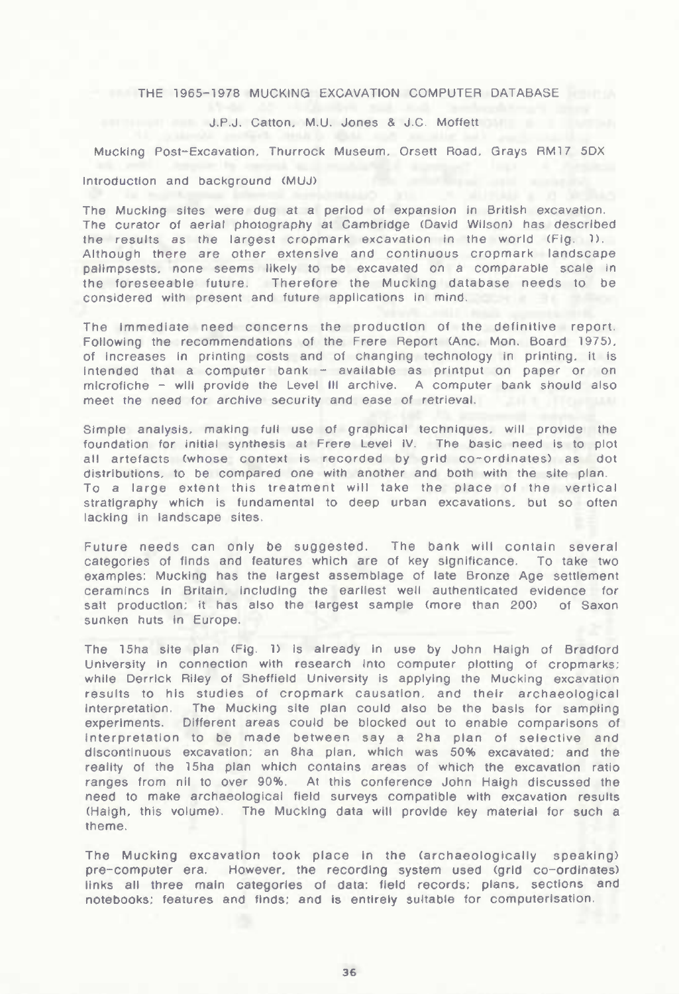## THE 1965-1978 MUCKING EXCAVATION COMPUTER DATABASE

## J.P.J. Catton. M.U. Jones & J.C. Moffett

Mucking Post-Excavation, Thurrock Museum, Orsett Road, Grays RM 17 5DX

## Introduction and background (MUJ)

The Mucking sites were dug at a period of expansion In British excavation. The curator of aerial photography at Cambridge (David Wilson) has described the results as the largest cropmark excavation in the world (Fig. 1). Although there are other extensive and continuous cropmark landscape palimpsests, none seems likely to be excavated on a comparable scale in the foreseeable future. Therefore the Mucking database needs to be considered with present and future applications in mind.

The Immediate need concerns the production of the definitive report. Following the recommendations of the Frere Report (Anc. Mon. Board 1975). of increases In printing costs and of changing technology in printing, it Is intended that <sup>a</sup> computer bank - available as printput on paper or on microfiche - will provide the Level III archive. <sup>A</sup> computer bank should also meet the need for archive security and ease of retrieval.

Simple analysis, making full use of graphical techniques, will provide the foundation for initial synthesis at Frere Level IV. The basic need is to plot all artefacts (whose context Is recorded by grid co-ordinates) as dot distributions, to be compared one with another and both with the site plan. To a large extent this treatment will take the place of the vertical stratigraphy which is fundamental to deep urban excavations, but so often lacking in landscape sites.

Future needs can only be suggested. The bank will contain several categories of finds and features which are of key significance. To take two examples: Mucking has the largest assemblage of late Bronze Age settlement ceramincs In Britain, including the earliest well authenticated evidence for salt production; it has also the largest sample (more than 200) of Saxon sunken huts in Europe.

The 15ha site plan (Fig. 1) Is already in use by John Haigh of Bradford University in connection with research Into computer plotting of cropmarks; while Derrick RIley of Sheffield University is applying the Mucking excavation results to his studies of cropmark causation, and their archaeological interpretation. The Mucking site plan could also be the basis for sampling experiments. Different areas could be blocked out to enable comparisons of interpretation to be made between say a 2ha plan of selective and discontinuous excavation; an 8ha plan, which was 50% excavated; and the reality of the 15ha plan which contains areas of which the excavation ratio ranges from nil to over 90%. At this conference John Haigh discussed the need to make archaeological field surveys compatible with excavation results (Haigh, this volume). The Mucking data will provide key material for such a theme.

The Mucking excavation **took place In the** (archaeologlcally speaking) pre-computer era. However, the recording system used (grid co-ordinates) links all three main categories of data: field records; plans, sections and notebooks; features and finds; and Is entirely suitable for computerisation.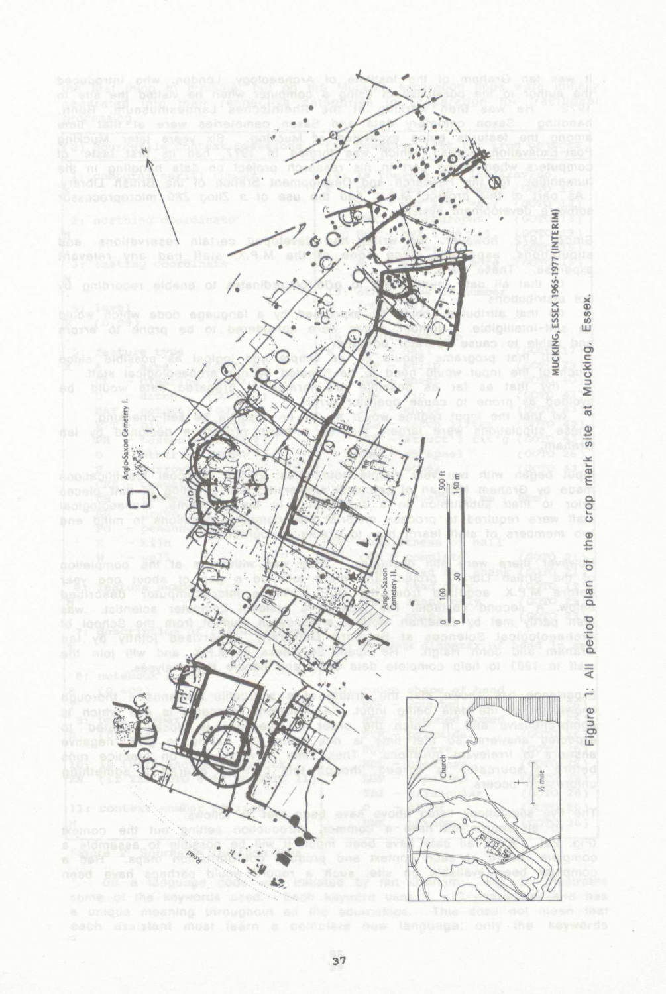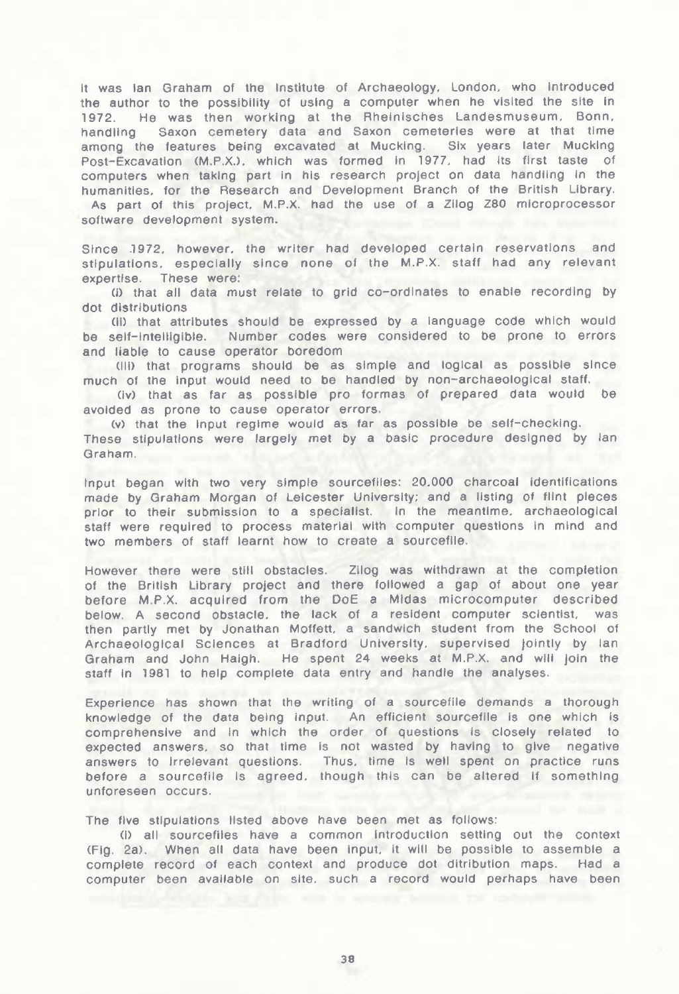It was Ian Graham of the Institute of Archaeology. London, who Introduced the author to the possibility of using a computer when he visited the site in 1972. He was then working at the Rheinisches Landesmuseum. Bonn, handling Saxon cemetery data and Saxon cemeteries were at that time among the features being excavated at Mucking. Six years later Mucking Post-Excavation (M.P.X.), which was formed in 1977, had its first taste of computers when taking part in his research project on data handling in the humanities, for the Research and Development Branch of the British Library. As part of this project. M.P.X. had the use of a Zilog Z80 microprocessor software development system.

Since 1972. however, the writer had developed certain reservations and stipulations, especially since none of the M.P.X. staff had any relevant expertise. These were:

(I) that ail data must relate to grid co-ordinates to enable recording by dot distributions

(li) that attributes should be expressed by a language code which would be self-intelligible. Number codes were considered to be prone to errors and liable to cause operator boredom

(Mi) that programs should be as simple and logical as possible since much of the Input would need to be handled by non-archaeologicai staff,

(Iv) that as far as possible pro formas of prepared data would be avoided as prone to cause operator errors.

(V) that the Input regime would as far as possible be self-checking. These stipulations were largely met by a basic procedure designed by Ian Graham.

Input began with two very simple sourcefiies: 20,000 charcoal Identifications made by Graham Morgan of Leicester University: and a listing of flint pieces prior to their submission to a specialist. in the meantime, archaeological staff were required to process material with computer questions In mind and two members of staff learnt how to create a sourcefiie.

However there were still obstacles. Zliog was withdrawn at the completion of the British Library project and there followed a gap of about one year before M.P.X. acquired from the DoE a Midas microcomputer described below, A second obstacle, the lack of a resident computer scientist, was then partly met by Jonathan Motfett. a sandwich student from the School of Archaeological Sciences at Bradford University, supervised jointly by Ian Graham and John Haigh. He spent 24 weeks at M.P.X. and will join the staff in 1981 to help complete data entry and handle the analyses.

Experience has shown that the writing of a sourcefiie demands a thorough knowledge of the data being input. An efficient sourcefile is one which is comprehensive and in which the order of questions Is closely related to expected answers, so that time Is not wasted by having to give negative answers to irrelevant questions. Thus, time is well spent on practice runs before a sourcefiie is agreed, though this can be altered if something unforeseen occurs.

The five stipulations listed above have been met as follows:

(1) ail sourcefiies have a common introduction setting out the context (Fig. 2a). When ail data have been Input, it will be possible to assemble a complete record of each context and produce dot ditribution maps. Had a computer been available on site, such a record would perhaps have been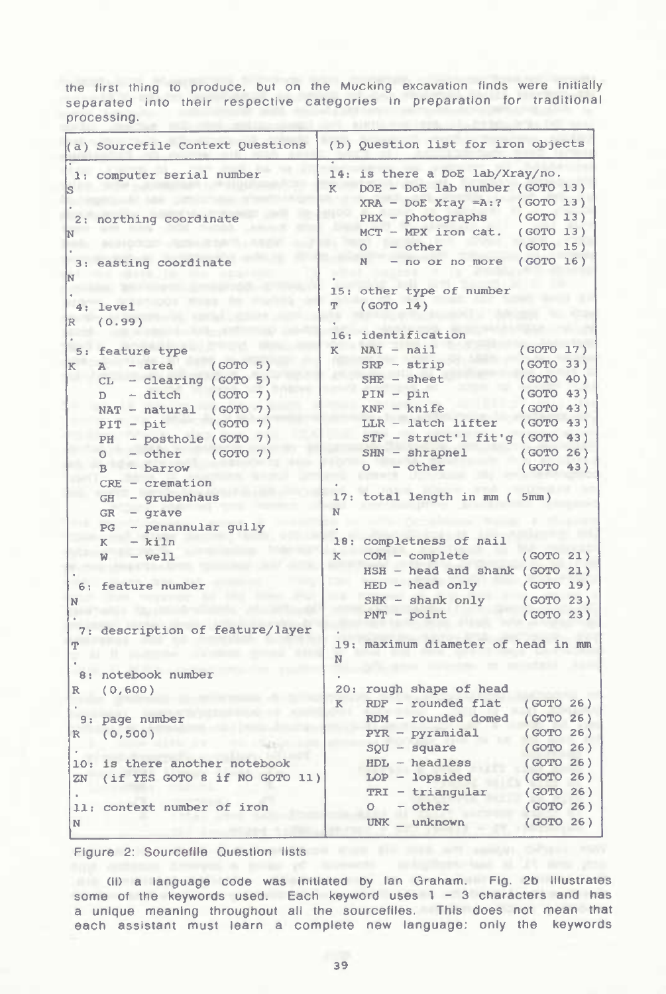the first thing to produce, but on the Mucking excavation finds were initially separated into their respective categories in preparation for traditional processing.

|        | (a) Sourcefile Context Questions                                                                                                                                                                                                                                                                                                                                                       |             | (b) Ouestion list for iron objects                                                                                                                                                                                                                                                                                                              |                                                                                                                                             |  |
|--------|----------------------------------------------------------------------------------------------------------------------------------------------------------------------------------------------------------------------------------------------------------------------------------------------------------------------------------------------------------------------------------------|-------------|-------------------------------------------------------------------------------------------------------------------------------------------------------------------------------------------------------------------------------------------------------------------------------------------------------------------------------------------------|---------------------------------------------------------------------------------------------------------------------------------------------|--|
|        | 1: computer serial number                                                                                                                                                                                                                                                                                                                                                              | K           | 14: is there a DoE lab/Xray/no.<br>DOE - DoE lab number (GOTO 13)<br>$XRA$ - DoE Xray =A:? (GOTO 13)                                                                                                                                                                                                                                            |                                                                                                                                             |  |
|        | 2: northing coordinate                                                                                                                                                                                                                                                                                                                                                                 |             | PHX - photographs<br>$MCT - MPX$ iron cat.<br>$- other$<br>$\circ$                                                                                                                                                                                                                                                                              | (COTO 13)<br>(GOTO 13)<br>(GOTO 15)                                                                                                         |  |
|        | 3: easting coordinate                                                                                                                                                                                                                                                                                                                                                                  |             | - no or no more (GOTO 16)<br>N                                                                                                                                                                                                                                                                                                                  |                                                                                                                                             |  |
|        | $4: \text{level}$                                                                                                                                                                                                                                                                                                                                                                      | ጥ           | 15: other type of number<br>(GOTO 14)                                                                                                                                                                                                                                                                                                           |                                                                                                                                             |  |
|        | R (0.99)                                                                                                                                                                                                                                                                                                                                                                               |             | 16: identification                                                                                                                                                                                                                                                                                                                              |                                                                                                                                             |  |
| K<br>N | 5: feature type<br>$A - area$<br>(GOTO 5)<br>$CL - Clearing (GOTO 5)$<br>(COTO 7)<br>- ditch<br>$\Box$<br>$NAT - natural (GOTO 7)$<br>(GOTO 7)<br>$PIT - pit$<br>- posthole (GOTO 7)<br>PH<br>(GOTO 7)<br>- other<br>$\circ$<br>$B - barrow$<br>$CRE - creation$<br>- grubenhaus<br>GH<br>GR<br>$-$ grave<br>PG - penannular gully<br>$-$ kiln<br>K<br>$W - well$<br>6: feature number | K<br>N<br>K | $NAI - nail$<br>$SRP - strip$<br>$SHE - sheet$<br>$PIN - pin$<br>$KNF - knife$<br>LLR - latch lifter<br>$STF - struct'1 fit'q (GOTO 43)$<br>$SHN - shrapnel$<br>$-$ other<br>$\circ$<br>17: total length in mm ( 5mm)<br>18: completness of nail<br>$COM - complete$<br>HSH - head and shank (GOTO 21)<br>$HED - head only$<br>SHK - shank only | (COTO 17)<br>(GOTO 33)<br>(GOTO 40)<br>(GOTO 43)<br>(GOTO 43)<br>(GOTO 43)<br>(GOTO 26)<br>(GOTO 43)<br>(GOTO 21)<br>(GOTO 19)<br>(GOTO 23) |  |
| ጥ      | 7: description of feature/layer                                                                                                                                                                                                                                                                                                                                                        |             | $PNT - point$<br>19: maximum diameter of head in mm                                                                                                                                                                                                                                                                                             | (COTO 23)                                                                                                                                   |  |
|        | 8: notebook number                                                                                                                                                                                                                                                                                                                                                                     | N           |                                                                                                                                                                                                                                                                                                                                                 |                                                                                                                                             |  |
|        | R (0,600)                                                                                                                                                                                                                                                                                                                                                                              | K           | 20: rough shape of head<br>$RDF$ - rounded flat                                                                                                                                                                                                                                                                                                 | (GOTO 26)                                                                                                                                   |  |
| R      | 9: page number<br>(0, 500)                                                                                                                                                                                                                                                                                                                                                             |             | $RDM$ - rounded domed<br>$PYR - pyramidal$<br>$SOU - square$                                                                                                                                                                                                                                                                                    | (GOTO 26)<br>(GOTO 26)<br>(GOTO 26)                                                                                                         |  |
|        | 10: is there another notebook<br>ZN (if YES GOTO 8 if NO GOTO 11)                                                                                                                                                                                                                                                                                                                      |             | $HDL - headless$<br>$LOP - lopsided$<br>$TRI - triangular$                                                                                                                                                                                                                                                                                      | (GOTO 26)<br>(COTO 26)<br>(GOTO 26)                                                                                                         |  |
| N      | 11: context number of iron                                                                                                                                                                                                                                                                                                                                                             |             | - other<br>$\circ$<br>$UNK$ _ unknown                                                                                                                                                                                                                                                                                                           | (GOTO 26)<br>(GOTO 26)                                                                                                                      |  |

Figure 2: Sourcefile Question lists

(II) a language code was Initiated by Ian Graham. Fig. 2b illustrates some of the keywords used. Each keyword uses 1 - 3 characters and has a unique meaning throughout all the sourceflles. This does not mean that each assistant must learn a complete new language; only the keywords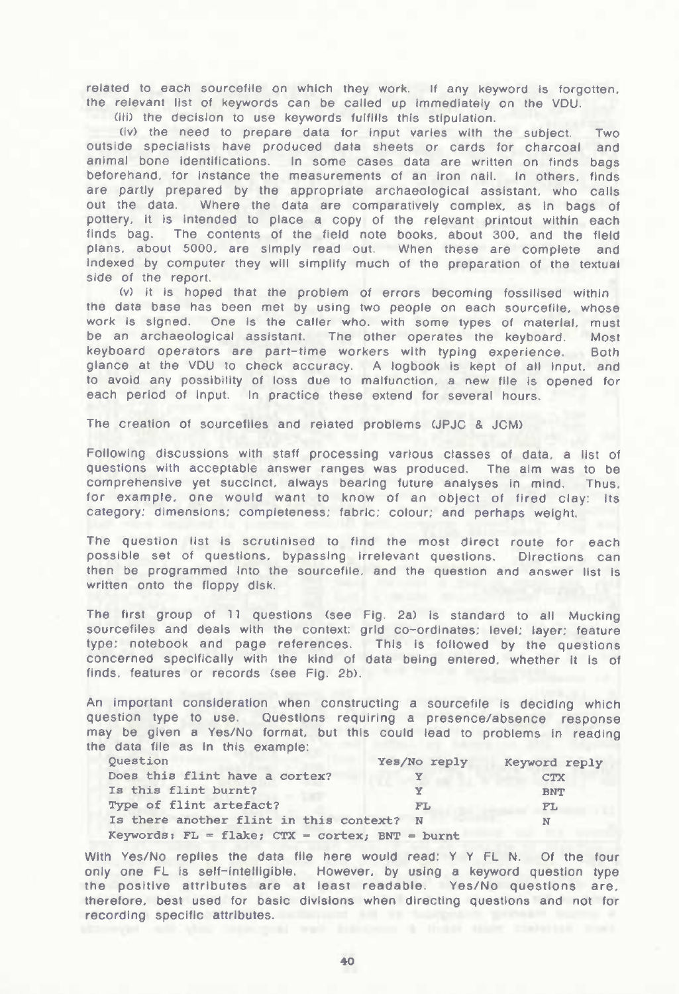related to each sourcefile on which they work. If any keyword is forgotten, the relevant list of keywords can be called up immediately on the VDU.

(iii) the decision to use keywords fulfills this stipulation.

(iv) the need to prepare data for input varies with the subject. Two outside specialists have produced data sheets or cards for charcoal and<br>animal bone identifications. In some cases data are written on finds bags In some cases data are written on finds bags beforehand, for instance the measurements of an iron nail. In others, finds are partly prepared by the appropriate archaeological assistant, who calls out the data. Where the data are comparatively complex, as in bags of pottery, it is intended to place a copy of the relevant printout within each finds bag. The contents of the field note books, about 300, and the field plans, about 5000. are simply read out. When these are complete and indexed by computer they will simplify much of the preparation of the textual side of the report.

(v) it is hoped that the problem of errors becoming fossilised within the data base has been met by using two people on each sourcefile. whose work Is signed. One is the caller who. with some types of material, must be an archaeological assistant. The other operates the keyboard. Most keyboard operators are part-time workers with typing experience. Both glance at the VDU to check accuracy. A logbook is kept of all input, and to avoid any possibility of loss due to malfunction, a new file is opened for each period of Input. In practice these extend for several hours.

The creation of sourcefiles and related problems (JPJC & JCM)

Following discussions with staff processing various classes of data, a list of questions with acceptable answer ranges was produced. The aim was to be comprehensive yet succinct, always bearing future analyses in mind. Thus, for example, one would want to know of an object of fired clay: its category; dimensions; completeness; fabric; colour; and perhaps weight.

The question list Is scrutinised to find the most direct route for each possible set of questions, bypassing irrelevant questions. Directions can then be programmed into the sourcefile, and the question and answer list is written onto the floppy disk.

The first group of <sup>11</sup> questions (see Fig. 2a) is standard to all Mucking sourcefiles and deals with the context: grid co-ordinates; level; layer; feature type; notebook and page references. This is followed by the questions concerned specifically with the kind of data being entered, whether it Is of finds, features or records (see Fig. 2b).

An important consideration when constructing a sourcefile Is deciding which question type to use. Questions requiring a presence/absence response may be given a Yes/No format, but this could lead to problems In reading the data file as In this example:

| Ouestion                                                  | Yes/No reply | Keyword reply |
|-----------------------------------------------------------|--------------|---------------|
| Does this flint have a cortex?                            |              | <b>CTX</b>    |
| Is this flint burnt?                                      | Y            | <b>BNT</b>    |
| Type of flint artefact?                                   | FL.          | FL            |
| Is there another flint in this context? N                 |              | N             |
| Keywords: FL = flake; $CTX = \text{cortex}$ ; BNT = burnt |              |               |

With Yes/No replies the data file here would read: Y <sup>Y</sup> FL N. Of the four only one FL is self-intelligible. However, by using a keyword question type the positive attributes are at least readable. Yes/No questions are, therefore, best used for basic divisions when directing questions and not for recording specific attributes.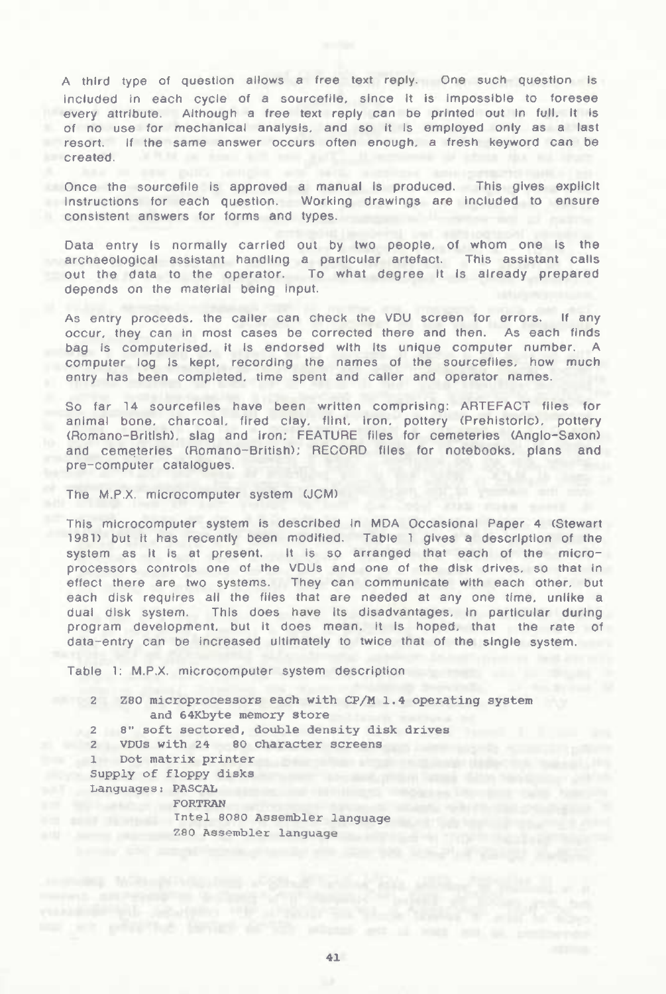A third type of question allows a free text reply. One such question Is included in each cycle of a sourceflle, since It Is impossible to foresee every attribute. Although a free text reply can be printed out in full, it is of no use for mechanical analysis, and so It is employed only as a last resort. If the same answer occurs often enough, a fresh keyword can be created.

Once the sourceflle is approved a manual is produced. This gives explicit instructions for each question. Working drawings are Included to ensure consistent answers for forms and types.

Data entry Is normally carried out by two people, of whom one Is the archaeological assistant handling a particular artefact. This assistant calls out the data to the operator. To what degree It Is already prepared depends on the material being input.

As entry proceeds, the caller can check the VDU screen for errors. If any occur, they can In most cases be corrected there and then. As each finds bag is computerised. It is endorsed with its unique computer number. A computer log is kept, recording the names of the sourceflles, how much entry has been completed, time spent and caller and operator names.

So far 14 sourcefiles have been written comprising: ARTEFACT files for animal bone, charcoal, fired clay, flint, iron, pottery (Prehistoric), pottery (Romano-British), slag and iron; FEATURE files for cemeteries (Anglo-Saxon) and cemeteries (Romano-British); RECORD files for notebooks, pians and pre-computer catalogues.

The M.P.X. microcomputer system (JCM)

This microcomputer system is described in MDA Occasional Paper 4 (Stewart 1981) but it has recently been modified. Table 1 gives a description of the system as it is at present. it is so arranged that each of the microprocessors controls one of the VDUs and one of the disk drives, so that in effect there are two systems. They can communicate with each other, but each disk requires all the files that are needed at any one time, unlike a dual disk system. This does have its disadvantages, in particular during program development, but it does mean, it Is hoped, that the rate of data-entry can be increased ultimately to twice that of the single system.

Table 1: M.P.X. microcomputer system description

<sup>16</sup> <sup>2</sup> Z80 microprocessors each with CP/M 1.4 operating **system** and 64Kbyte memory store 2 8" soft sectored, double density disk drives 2 VDUs with 24 80 character screens <sup>1</sup> Dot matrix printer Supply of floppy disks and the state of  $\mathcal{S}$  supply of  $\mathcal{S}$  supply disks Languages : PASCAL **FORTRAN** Intel 8080 Assembler language Z80 Assembler language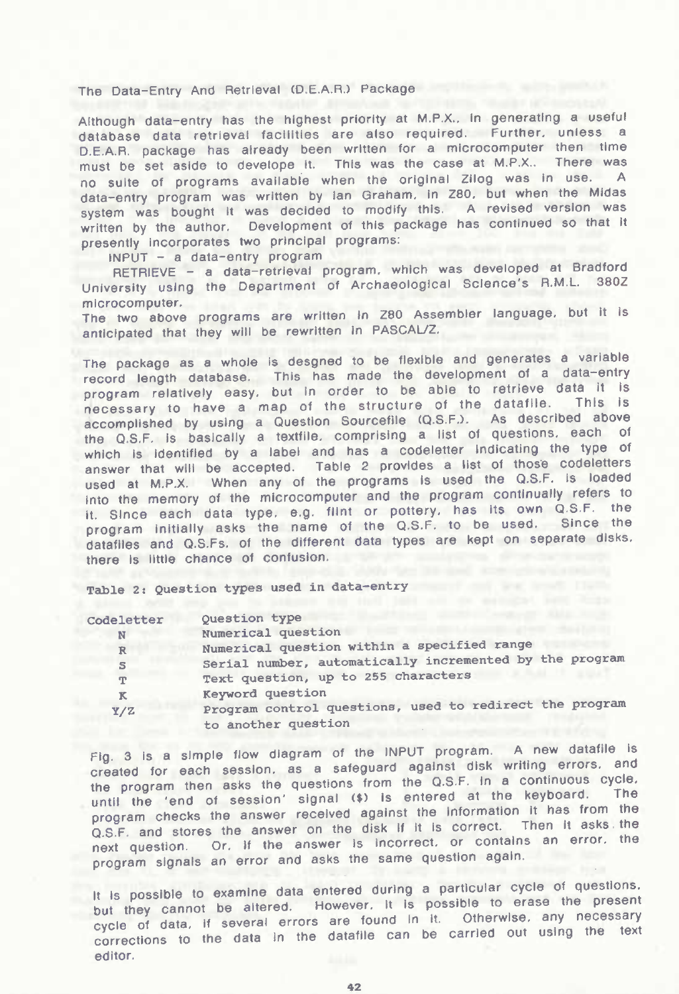## The Data-Entry And Retrieval (D.E.A.R.) Package

Although data-entry has the highest priority at M.P.X.. In generating a useful database data retrieval facilities are also required. Further, unless a D.E.A.R. package has already been written for a microcomputer then time must be set aside to develope it. This was the case at M.P.X.. There was no suite of programs available when the original Zliog was in use. A data-entry program was written by Ian Graham, in Z80, but when the Midas system was bought It was decided to modify this. A revised version was written by the author. Development of this package has continued so that it presently incorporates two principal programs:

INPUT - <sup>a</sup> data-entry program

RETRIEVE - a data-retrieval program, which was developed at Bradford<br>seeks valors the Department of Archaeological Science's R.M.L. 380Z University using the Department of Archaeological Science's R.M.L. microcomputer.

The two above programs are written In Z80 Assembler language, but it Is anticipated that they will be rewritten in PASCAL/Z.

The package as a whole is desgned to be flexible and generates a variable record length database. This has made the development of a data-entry program relatively easy, but In order to be able to retrieve data It is necessary to have a map of the structure of the datafile. This is accomplished by using a Question Sourcefile (Q.S.F.). As described above the Q.S.F. Is basically a textfile, comprising a list of questions, each of which is identified by a label and has a codeletter indicating the type of answer that will be accepted. Table 2 provides a list of those codeletters used at M.P.X. When any of the programs Is used the Q.S.F. Is loaded Into the memory of the microcomputer and the program continually refers to it Since each data type, e.g. flint or pottery, has its own Q.S.F. the program initially asks the name of the Q.S.F. to be used. Since the datafiles and Q.S.Fs. of the different data types are kept on separate disks, there is little chance of confusion.

**Table 2: Question types used in data-entry**

| Codeletter   | <b>Ouestion</b> type                                    |
|--------------|---------------------------------------------------------|
| N            | Numerical question                                      |
| $\mathbb{R}$ | Numerical question within a specified range             |
| S            | Serial number, automatically incremented by the program |
| T            | Text question, up to 255 characters                     |
| к            | Keyword question                                        |
| Y/Z          | Program control questions, used to redirect the program |
|              | to another question                                     |

Fig. 3 is a simple flow diagram of the INPUT program. A new datafile is created for each session, as a safeguard against disk writing errors, and the program then asks the questions from the Q.S.F. In a continuous cycle, until the 'end of session' signal (\$) Is entered at the keyboard. The program checks the answer received against the information it has from the Q.S.F. and stores the answer on the disk if it is correct. Then it asks the next question. Or, If the answer Is Incorrect, or contains an error, the program signals an error and asks the same question again.

It is possible to examine data entered during a particular cycle of questions. but they cannot be altered. However, it is possible to erase the present cycle of data, if several errors are found in it. Otherwise, any necessary corrections to the data In the dataflle can be carried out using the text editor.